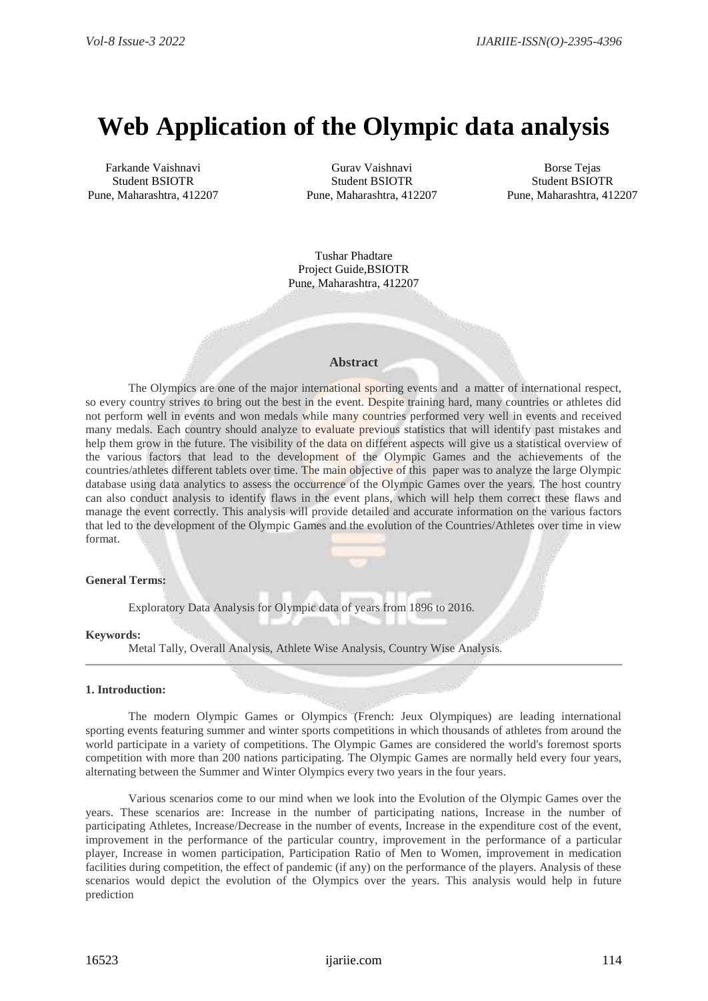# **Web Application of the Olympic data analysis**

Farkande Vaishnavi Student BSIOTR Pune, Maharashtra, 412207

Gurav Vaishnavi Student BSIOTR Pune, Maharashtra, 412207

Borse Tejas Student BSIOTR Pune, Maharashtra, 412207

Tushar Phadtare Project Guide,BSIOTR Pune, Maharashtra, 412207

## **Abstract**

The Olympics are one of the major international sporting events and a matter of international respect, so every country strives to bring out the best in the event. Despite training hard, many countries or athletes did not perform well in events and won medals while many countries performed very well in events and received many medals. Each country should analyze to evaluate previous statistics that will identify past mistakes and help them grow in the future. The visibility of the data on different aspects will give us a statistical overview of the various factors that lead to the development of the Olympic Games and the achievements of the countries/athletes different tablets over time. The main objective of this paper was to analyze the large Olympic database using data analytics to assess the occurrence of the Olympic Games over the years. The host country can also conduct analysis to identify flaws in the event plans, which will help them correct these flaws and manage the event correctly. This analysis will provide detailed and accurate information on the various factors that led to the development of the Olympic Games and the evolution of the Countries/Athletes over time in view format.

### **General Terms:**

Exploratory Data Analysis for Olympic data of years from 1896 to 2016.

### **Keywords:**

Metal Tally, Overall Analysis, Athlete Wise Analysis, Country Wise Analysis.

#### **1. Introduction:**

 The modern Olympic Games or Olympics (French: Jeux Olympiques) are leading international sporting events featuring summer and winter sports competitions in which thousands of athletes from around the world participate in a variety of competitions. The Olympic Games are considered the world's foremost sports competition with more than 200 nations participating. The Olympic Games are normally held every four years, alternating between the Summer and Winter Olympics every two years in the four years.

Various scenarios come to our mind when we look into the Evolution of the Olympic Games over the years. These scenarios are: Increase in the number of participating nations, Increase in the number of participating Athletes, Increase/Decrease in the number of events, Increase in the expenditure cost of the event, improvement in the performance of the particular country, improvement in the performance of a particular player, Increase in women participation, Participation Ratio of Men to Women, improvement in medication facilities during competition, the effect of pandemic (if any) on the performance of the players. Analysis of these scenarios would depict the evolution of the Olympics over the years. This analysis would help in future prediction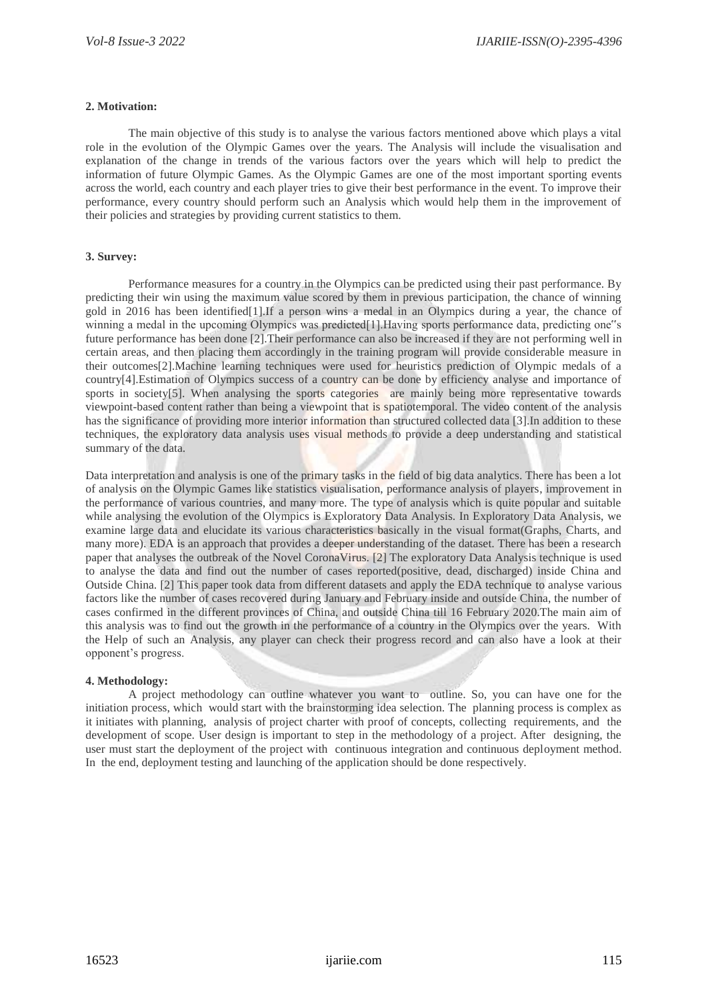## **2. Motivation:**

The main objective of this study is to analyse the various factors mentioned above which plays a vital role in the evolution of the Olympic Games over the years. The Analysis will include the visualisation and explanation of the change in trends of the various factors over the years which will help to predict the information of future Olympic Games. As the Olympic Games are one of the most important sporting events across the world, each country and each player tries to give their best performance in the event. To improve their performance, every country should perform such an Analysis which would help them in the improvement of their policies and strategies by providing current statistics to them.

# **3. Survey:**

Performance measures for a country in the Olympics can be predicted using their past performance. By predicting their win using the maximum value scored by them in previous participation, the chance of winning gold in 2016 has been identified[1].If a person wins a medal in an Olympics during a year, the chance of winning a medal in the upcoming Olympics was predicted<sup>[1]</sup>. Having sports performance data, predicting one"s future performance has been done [2].Their performance can also be increased if they are not performing well in certain areas, and then placing them accordingly in the training program will provide considerable measure in their outcomes[2].Machine learning techniques were used for heuristics prediction of Olympic medals of a country[4].Estimation of Olympics success of a country can be done by efficiency analyse and importance of sports in society[5]. When analysing the sports categories are mainly being more representative towards viewpoint-based content rather than being a viewpoint that is spatiotemporal. The video content of the analysis has the significance of providing more interior information than structured collected data [3].In addition to these techniques, the exploratory data analysis uses visual methods to provide a deep understanding and statistical summary of the data.

Data interpretation and analysis is one of the primary tasks in the field of big data analytics. There has been a lot of analysis on the Olympic Games like statistics visualisation, performance analysis of players, improvement in the performance of various countries, and many more. The type of analysis which is quite popular and suitable while analysing the evolution of the Olympics is Exploratory Data Analysis. In Exploratory Data Analysis, we examine large data and elucidate its various characteristics basically in the visual format(Graphs, Charts, and many more). EDA is an approach that provides a deeper understanding of the dataset. There has been a research paper that analyses the outbreak of the Novel CoronaVirus. [2] The exploratory Data Analysis technique is used to analyse the data and find out the number of cases reported(positive, dead, discharged) inside China and Outside China. [2] This paper took data from different datasets and apply the EDA technique to analyse various factors like the number of cases recovered during January and February inside and outside China, the number of cases confirmed in the different provinces of China, and outside China till 16 February 2020.The main aim of this analysis was to find out the growth in the performance of a country in the Olympics over the years. With the Help of such an Analysis, any player can check their progress record and can also have a look at their opponent's progress.

## **4. Methodology:**

A project methodology can outline whatever you want to outline. So, you can have one for the initiation process, which would start with the brainstorming idea selection. The planning process is complex as it initiates with planning, analysis of project charter with proof of concepts, collecting requirements, and the development of scope. User design is important to step in the methodology of a project. After designing, the user must start the deployment of the project with continuous integration and continuous deployment method. In the end, deployment testing and launching of the application should be done respectively.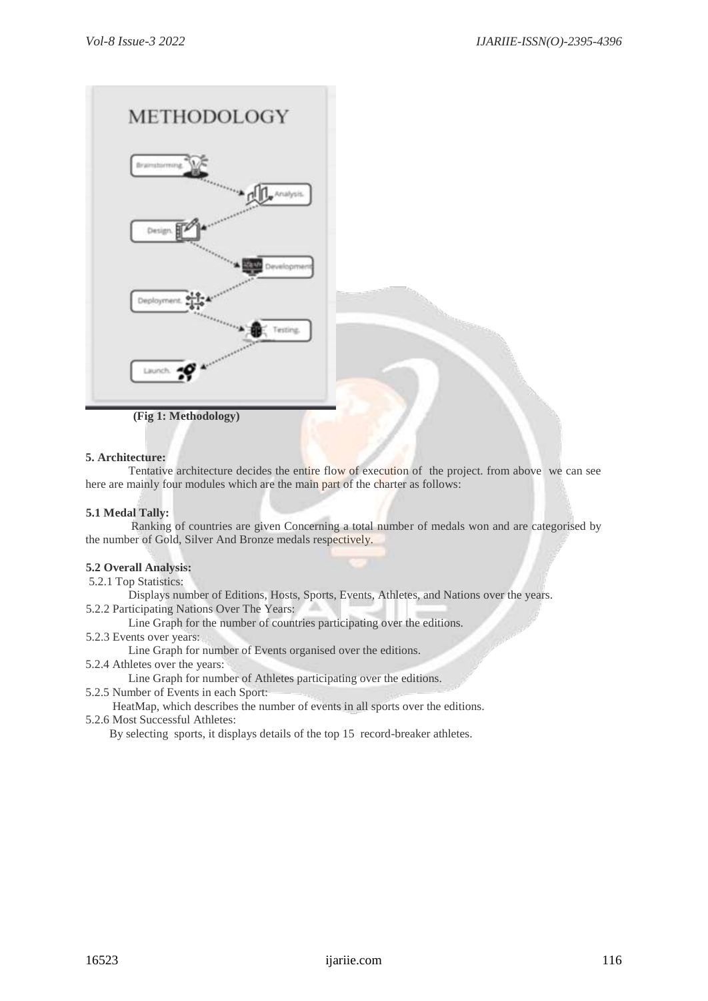

 **(Fig 1: Methodology)**

# **5. Architecture:**

Tentative architecture decides the entire flow of execution of the project. from above we can see here are mainly four modules which are the main part of the charter as follows:

# **5.1 Medal Tally:**

Ranking of countries are given Concerning a total number of medals won and are categorised by the number of Gold, Silver And Bronze medals respectively.

# **5.2 Overall Analysis:**

5.2.1 Top Statistics:

Displays number of Editions, Hosts, Sports, Events, Athletes, and Nations over the years.

5.2.2 Participating Nations Over The Years:

Line Graph for the number of countries participating over the editions.

5.2.3 Events over years:

Line Graph for number of Events organised over the editions.

5.2.4 Athletes over the years:

Line Graph for number of Athletes participating over the editions.

5.2.5 Number of Events in each Sport:

 HeatMap, which describes the number of events in all sports over the editions. 5.2.6 Most Successful Athletes:

By selecting sports, it displays details of the top 15 record-breaker athletes.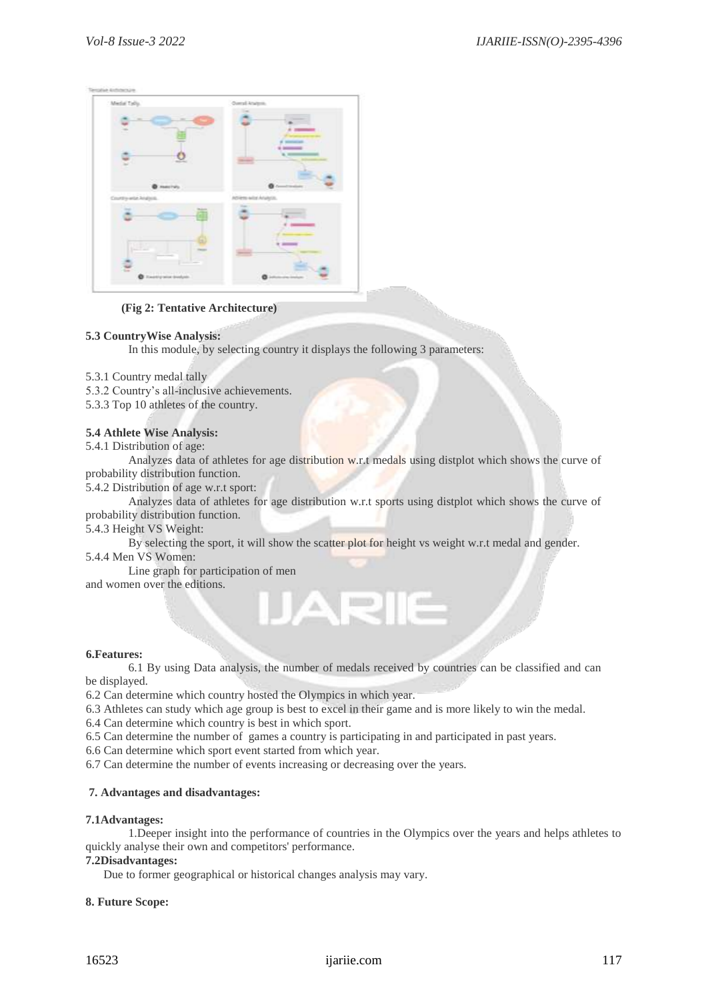| Medal Tylly.<br>$=$<br>٠         | Overall Analysis.                                 |
|----------------------------------|---------------------------------------------------|
|                                  | --                                                |
| mering<br>Country-wide-Analysis. | z.<br>all the about the<br>Atliens with Analysis. |
|                                  | Total C                                           |
| Ξ<br><b>O</b> mention police     | ≕<br><b>Q</b> interests index                     |

 **(Fig 2: Tentative Architecture)**

# **5.3 CountryWise Analysis:**

In this module, by selecting country it displays the following 3 parameters:

5.3.1 Country medal tally

5.3.2 Country's all-inclusive achievements.

5.3.3 Top 10 athletes of the country.

# **5.4 Athlete Wise Analysis:**

5.4.1 Distribution of age:

Analyzes data of athletes for age distribution w.r.t medals using distplot which shows the curve of probability distribution function.

5.4.2 Distribution of age w.r.t sport:

Analyzes data of athletes for age distribution w.r.t sports using distplot which shows the curve of probability distribution function.

5.4.3 Height VS Weight:

By selecting the sport, it will show the scatter plot for height vs weight w.r.t medal and gender.

5.4.4 Men VS Women:

Line graph for participation of men

and women over the editions.

# **6.Features:**

6.1 By using Data analysis, the number of medals received by countries can be classified and can be displayed.

6.2 Can determine which country hosted the Olympics in which year.

6.3 Athletes can study which age group is best to excel in their game and is more likely to win the medal.

6.4 Can determine which country is best in which sport.

6.5 Can determine the number of games a country is participating in and participated in past years.

A

6.6 Can determine which sport event started from which year.

6.7 Can determine the number of events increasing or decreasing over the years.

# **7. Advantages and disadvantages:**

# **7.1Advantages:**

1.Deeper insight into the performance of countries in the Olympics over the years and helps athletes to quickly analyse their own and competitors' performance.

# **7.2Disadvantages:**

Due to former geographical or historical changes analysis may vary.

# **8. Future Scope:**

# 16523 ijariie.com 117